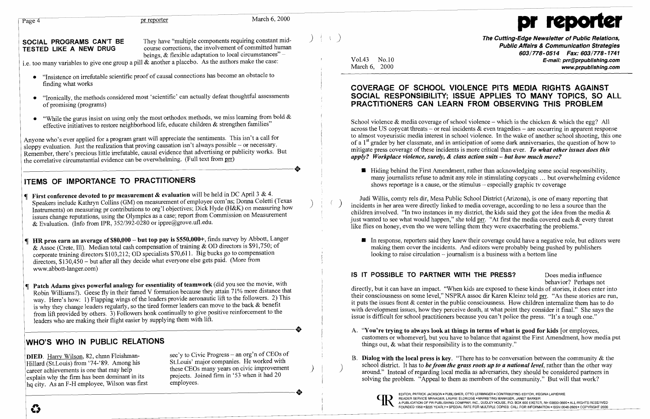i

## COVERAGE OF SCHOOL VIOLENCE PITS MEDIA RIGHTS AGAINST<br>SOCIAL RESPONSIBILITY; ISSUE APPLIES TO MANY TOPICS, SO ALL of promising (programs) **PRACTITIONERS CAN LEARN FROM OBSERVING THIS PROBLEM**

across the US copycat threats – or real incidents & even tragedies – are occurring in apparent response<br>to almost voyeuristic media interest in school violence. In the wake of another school shooting, this one Anyone who's ever applied for a program grant will appreciate the sentiments. This isn't a call for<br>sloppy evaluation. Just the realization that proving causation isn't always possible – or necessary.<br>Remember, there's pre

### **IS IT POSSIBLE TO PARTNER WITH THE PRESS?** Does media influence

- 
- Hillard (St.Louis) from 74-89. Among his submission companies. He worked with school district. It has to *be from the grass roots up to a national level*, rather than the other way these CEOs many years on civic improvemen



course corrections, the involvement of committed human<br>beings, & flexible adaptation to local circumstances" – TESTEREN COMMUNICATION COMMUNICATION Strategies<br>COMMUNICATION COMMUNICATION COMMUNICATION COMMUNICATION Strateg

i.e. too many variables to give one group a pill & another a placebo. As the authors make the case:<br>March 6, 2000 March 6, 2000 www.proublishing.com

- "Insistence on irrefutable scientific proof of causal connections has become an obstacle to finding what works
- "Ironically, the methods considered most 'scientific' can actually defeat thoughtful assessments
- "While the gurus insist on using only the most orthodox methods, we miss learning from bold &<br>effective initiatives to restore neighborhood life, educate children & strengthen families"<br>School violence & media coverage of

Remember, there's precious little irrefutable, causal evidence that advertising or publicity works. But<br>the correlative circumstantial evidence can be overwhelming. (Full text from prr)<br>Hiding behind the First Amendment, r

- First conference devoted to pr measurement & evaluation will be held in DC April 3 & 4.<br>
Speakers include Kathryn Collins (GM) on measurement of employee com'ns; Donna Coletti (Texas<br>
Instruments) on measuring pr contribut
- HR pros earn an average of \$80,000 but top pay is \$550,000+, finds survey by Abbott, Langer<br>
& Assoc (Crete, III). Median total cash compensation of training & OD directors is \$91,750; of making them cover the incidents. & Assoc (Crete, Ill). Median total cash compensation of training & OD directors is \$91,750; of making them cover the incidents. And editors were probably being pushed by publishers were probably being pushed by publishers corporate training directors \$103,212; OD specialists \$70,611. Big bucks go to compensation directors, \$130,450 - but after all they decide what everyone else gets paid. (More from www.abbott-Ianger.com)
- **Patch Adams gives powerful analogy for essentiality of teamwork** (did you see the movie, with<br>
Robin Williams?). Geese fly in their famed V formation because they attain 71% more distance that<br>
way. Here's how: 1) Flappin Leaders who are making their flight easier by supplying them with lift.<br>
A. "You're trying to always look at things in terms of what is good for kids [or employees,<br>
MHO'S WHO IN PUBLIC RELATIONS<br>
WHO'S WHO IN PUBLIC RELAT

hq city. As an F-H employee, Wilson was first

DIED. Harry Wilson, 82, chmn Fleishman-<br>Hillard (St.Louis) from '74-'89. Among his St.Louis' major companies. He worked with B. Dialog with the local press is key. "There has to be conversation between the community & the explain why the firm has been dominant in its<br>explain why the firm has been dominant in its<br>ha city As an F-H employee. Wilson was first employees. Toined firm in '53 when it had 20<br>ha city As an F-H employee. Wilson was f

# Page 4 pr reporter March 6, 2000

SOCIAL PROGRAMS CAN'T BE They have "multiple components requiring constant mid-<br>TESTED LIKE A NEW DRUG course corrections, the involvement of committed human<br>TESTED LIKE A NEW DRUG course corrections, the involvement of co www.prpublishing.com

ITEMS OF IMPORTANCE TO PRACTITIONERS many journalists refuse to admit any role in stimulating copycats ... but overwhelming evidence shows reportage is a cause, or the stimulus – especially graphic tv coverage

customers or whomever], but you have to balance that against the First Amendment, how media put things out,  $\&$  what their responsibility is to the community."